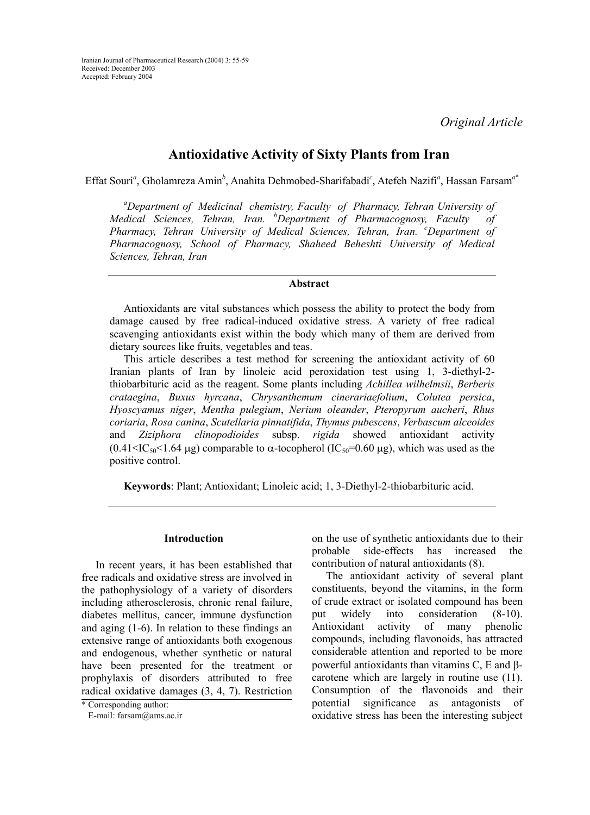*Original Article* 

# **Antioxidative Activity of Sixty Plants from Iran**

Effat Souri<sup>a</sup>, Gholamreza Amin<sup>b</sup>, Anahita Dehmobed-Sharifabadi<sup>c</sup>, Atefeh Nazifi<sup>a</sup>, Hassan Farsam<sup>a\*</sup>

<sup>a</sup>Department of Medicinal chemistry, Faculty of Pharmacy, Tehran University of *Medical Sciences, Tehran, Iran. <sup>b</sup> Department of Pharmacognosy, Faculty of Pharmacy, Tehran University of Medical Sciences, Tehran, Iran. <sup>c</sup> Department of Pharmacognosy, School of Pharmacy, Shaheed Beheshti University of Medical Sciences, Tehran, Iran* 

# **Abstract**

Antioxidants are vital substances which possess the ability to protect the body from damage caused by free radical-induced oxidative stress. A variety of free radical scavenging antioxidants exist within the body which many of them are derived from dietary sources like fruits, vegetables and teas.

This article describes a test method for screening the antioxidant activity of 60 Iranian plants of Iran by linoleic acid peroxidation test using 1, 3-diethyl-2 thiobarbituric acid as the reagent. Some plants including *Achillea wilhelmsii*, *Berberis crataegina*, *Buxus hyrcana*, *Chrysanthemum cinerariaefolium*, *Colutea persica*, *Hyoscyamus niger*, *Mentha pulegium*, *Nerium oleander*, *Pteropyrum aucheri*, *Rhus coriaria*, *Rosa canina*, *Scutellaria pinnatifida*, *Thymus pubescens*, *Verbascum alceoides*  and *Ziziphora clinopodioides* subsp. *rigida* showed antioxidant activity  $(0.41 \leq I\right\leq_{50} \leq 1.64 \,\mu g)$  comparable to  $\alpha$ -tocopherol (IC<sub>50</sub>=0.60  $\mu$ g), which was used as the positive control.

**Keywords**: Plant; Antioxidant; Linoleic acid; 1, 3-Diethyl-2-thiobarbituric acid.

# **Introduction**

In recent years, it has been established that free radicals and oxidative stress are involved in the pathophysiology of a variety of disorders including atherosclerosis, chronic renal failure, diabetes mellitus, cancer, immune dysfunction and aging (1-6). In relation to these findings an extensive range of antioxidants both exogenous and endogenous, whether synthetic or natural have been presented for the treatment or prophylaxis of disorders attributed to free radical oxidative damages (3, 4, 7). Restriction on the use of synthetic antioxidants due to their probable side-effects has increased the contribution of natural antioxidants (8).

The antioxidant activity of several plant constituents, beyond the vitamins, in the form of crude extract or isolated compound has been put widely into consideration (8-10). Antioxidant activity of many phenolic compounds, including flavonoids, has attracted considerable attention and reported to be more powerful antioxidants than vitamins C, E and βcarotene which are largely in routine use (11). Consumption of the flavonoids and their potential significance as antagonists of oxidative stress has been the interesting subject

<sup>\*</sup> Corresponding author:

E-mail: farsam@ams.ac.ir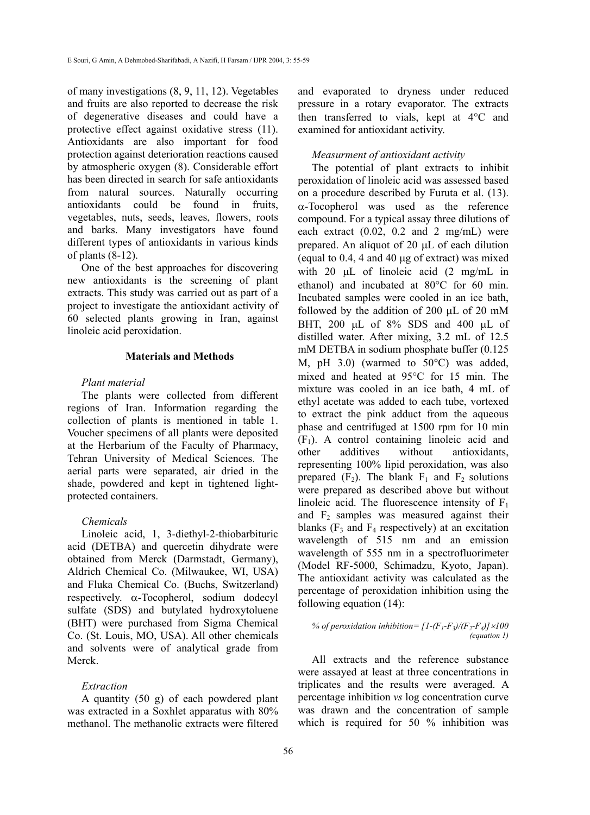of many investigations (8, 9, 11, 12). Vegetables and fruits are also reported to decrease the risk of degenerative diseases and could have a protective effect against oxidative stress (11). Antioxidants are also important for food protection against deterioration reactions caused by atmospheric oxygen (8). Considerable effort has been directed in search for safe antioxidants from natural sources. Naturally occurring antioxidants could be found in fruits, vegetables, nuts, seeds, leaves, flowers, roots and barks. Many investigators have found different types of antioxidants in various kinds of plants (8-12).

One of the best approaches for discovering new antioxidants is the screening of plant extracts. This study was carried out as part of a project to investigate the antioxidant activity of 60 selected plants growing in Iran, against linoleic acid peroxidation.

# **Materials and Methods**

### *Plant material*

The plants were collected from different regions of Iran. Information regarding the collection of plants is mentioned in table 1. Voucher specimens of all plants were deposited at the Herbarium of the Faculty of Pharmacy, Tehran University of Medical Sciences. The aerial parts were separated, air dried in the shade, powdered and kept in tightened lightprotected containers.

# *Chemicals*

Linoleic acid, 1, 3-diethyl-2-thiobarbituric acid (DETBA) and quercetin dihydrate were obtained from Merck (Darmstadt, Germany), Aldrich Chemical Co. (Milwaukee, WI, USA) and Fluka Chemical Co. (Buchs, Switzerland) respectively. α-Tocopherol, sodium dodecyl sulfate (SDS) and butylated hydroxytoluene (BHT) were purchased from Sigma Chemical Co. (St. Louis, MO, USA). All other chemicals and solvents were of analytical grade from Merck.

#### *Extraction*

A quantity (50 g) of each powdered plant was extracted in a Soxhlet apparatus with 80% methanol. The methanolic extracts were filtered and evaporated to dryness under reduced pressure in a rotary evaporator. The extracts then transferred to vials, kept at 4°C and examined for antioxidant activity.

### *Measurment of antioxidant activity*

The potential of plant extracts to inhibit peroxidation of linoleic acid was assessed based on a procedure described by Furuta et al. (13). α-Tocopherol was used as the reference compound. For a typical assay three dilutions of each extract (0.02, 0.2 and 2 mg/mL) were prepared. An aliquot of 20 µL of each dilution (equal to 0.4, 4 and 40 µg of extract) was mixed with 20  $\mu$ L of linoleic acid (2 mg/mL in ethanol) and incubated at 80°C for 60 min. Incubated samples were cooled in an ice bath, followed by the addition of 200 µL of 20 mM BHT, 200 µL of 8% SDS and 400 µL of distilled water. After mixing, 3.2 mL of 12.5 mM DETBA in sodium phosphate buffer  $(0.125)$ M, pH 3.0) (warmed to 50°C) was added, mixed and heated at 95°C for 15 min. The mixture was cooled in an ice bath, 4 mL of ethyl acetate was added to each tube, vortexed to extract the pink adduct from the aqueous phase and centrifuged at 1500 rpm for 10 min  $(F_1)$ . A control containing linoleic acid and other additives without antioxidants, representing 100% lipid peroxidation, was also prepared  $(F_2)$ . The blank  $F_1$  and  $F_2$  solutions were prepared as described above but without linoleic acid. The fluorescence intensity of  $F_1$ and  $F_2$  samples was measured against their blanks  $(F_3$  and  $F_4$  respectively) at an excitation wavelength of 515 nm and an emission wavelength of 555 nm in a spectrofluorimeter (Model RF-5000, Schimadzu, Kyoto, Japan). The antioxidant activity was calculated as the percentage of peroxidation inhibition using the following equation (14):

#### % of peroxidation inhibition=  $[I-(F_1-F_3)/(F_2-F_4)] \times 100$ *(equation 1)*

All extracts and the reference substance were assayed at least at three concentrations in triplicates and the results were averaged. A percentage inhibition *vs* log concentration curve was drawn and the concentration of sample which is required for 50 % inhibition was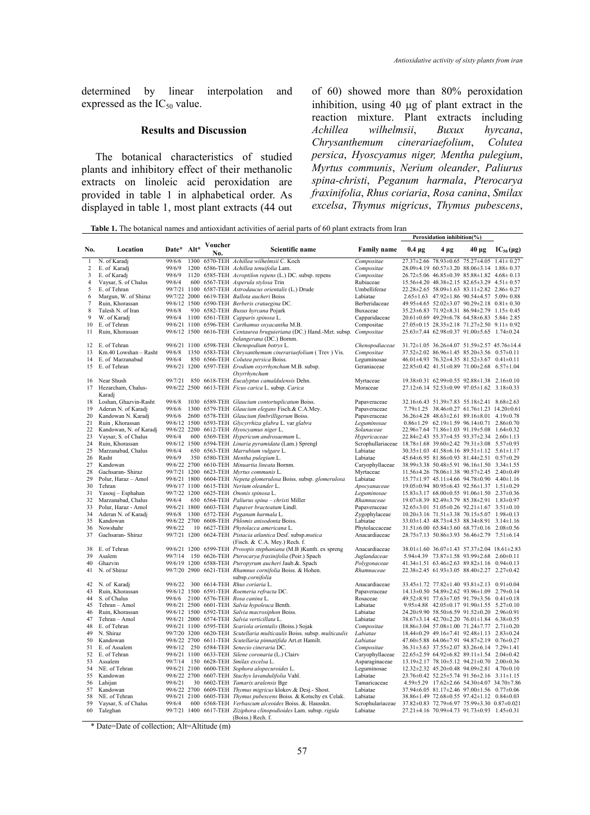determined by linear interpolation and expressed as the  $IC_{50}$  value.

# **Results and Discussion**

The botanical characteristics of studied plants and inhibitory effect of their methanolic extracts on linoleic acid peroxidation are provided in table 1 in alphabetical order. As displayed in table 1, most plant extracts (44 out

of 60) showed more than 80% peroxidation inhibition, using 40 µg of plant extract in the reaction mixture. Plant extracts including *Achillea wilhelmsii*, *Buxux hyrcana*, *Chrysanthemum cinerariaefolium*, *Colutea persica*, *Hyoscyamus niger, Mentha pulegium*, *Myrtus communis*, *Nerium oleander*, *Paliurus spina-christi*, *Peganum harmala*, *Pterocarya fraxinifolia*, *Rhus coriaria*, *Rosa canina*, *Smilax excelsa*, *Thymus migricus*, *Thymus pubescens*,

| <b>Table 1.</b> The botanical names and antioxidant activities of aerial parts of 60 plant extracts from Iran |  |
|---------------------------------------------------------------------------------------------------------------|--|
|---------------------------------------------------------------------------------------------------------------|--|

|                     |                                         |                  |      |                |                                                                                              |                                                              | Peroxidation inhibition(%) |           |                                                                                         |                  |  |
|---------------------|-----------------------------------------|------------------|------|----------------|----------------------------------------------------------------------------------------------|--------------------------------------------------------------|----------------------------|-----------|-----------------------------------------------------------------------------------------|------------------|--|
| No.                 | Location                                | Date* Alt*       |      | Voucher<br>No. | Scientific name                                                                              | <b>Family name</b>                                           | $0.4 \mu g$                | $4 \mu$ g | $40 \mu g$                                                                              | $IC_{50}(\mu g)$ |  |
| 1                   | N. of Karadi                            | 99/6/6           | 1300 |                | 6570-TEH Achillea wilhelmsii C. Koch                                                         | Compositae                                                   |                            |           | 27.37±2.66 78.93±0.65 75.27±4.05                                                        | $1.41 \pm 0.27$  |  |
| 2                   | E. of Karadi                            | 99/6/9           |      |                | 1200 6586-TEH Achillea tenuifolia Lam.                                                       | Compositae                                                   |                            |           | 28.09±4.19 60.57±3.20 88.06±3.14 1.88±0.37                                              |                  |  |
| 3                   | E. of Karadj                            | 99/6/9<br>99/6/4 |      |                | 1120 6585-TEH Acroptilon repens (L.) DC. subsp. repens                                       | Compositae                                                   |                            |           | 26.72±5.06 46.85±0.39 85.88±1.82 4.68±0.13                                              |                  |  |
| $\overline{4}$<br>5 | Vaysar, S. of Chalus                    |                  |      |                | 600 6567-TEH Asperula stylosa Trin                                                           | Rubiaceae                                                    |                            |           | 15.56±4.20 48.38±2.15 82.65±3.29 4.51± 0.57                                             |                  |  |
|                     | E. of Tehran                            |                  |      |                | 99/7/21 1100 6587-TEH Astrodaucus orientalis (L.) Drude                                      | Umbelliferae                                                 |                            |           | 22.28±2.65 58.09±1.63 83.11±2.82 2.86± 0.27                                             |                  |  |
| 6<br>$\tau$         | Margun, W. of Shiraz<br>Ruin, Khorassan |                  |      |                | 99/7/22 2000 6619-TEH Ballota aucheri Boiss<br>99/6/12 1500 6590-TEH Berberis crataegina DC. | Labiatae<br>Berberidaceae                                    |                            |           | 2.65±1.63 47.92±1.86 90.54±4.57 5.09±0.88<br>49.95±4.65 52.02±3.07 90.29±2.18 0.81±0.30 |                  |  |
| 8                   | Talesh N. of Iran                       | 99/6/8           |      |                | 930 6582-TEH Buxus hyrcana Pojark                                                            | Buxaceae                                                     |                            |           | 35.23±6.83 71.92±8.31 86.94±2.79 1.15±0.45                                              |                  |  |
| 9                   | W. of Karadi                            |                  |      |                | 99/6/4 1100 6561-TEH Capparis spinosa L.                                                     | Capparidaceae                                                |                            |           | 20.61±0.69 49.29±6.78 64.58±6.83 5.84± 2.85                                             |                  |  |
| 10                  | E. of Tehran                            |                  |      |                | 99/6/21 1100 6596-TEH Carthamus oxyacantha M.B.                                              | Compositae                                                   |                            |           | 27.05±0.15 28.35±2.18 71.27±2.50 9.11±0.92                                              |                  |  |
| 11                  | Ruin, Khorassan                         |                  |      |                | 99/6/12 1500 6616-TEH Centaurea bruguieriana (DC.) Hand.-Mzt. subsp.                         | Compositae                                                   |                            |           | 25.63±7.44 62.98±0.37 91.00±5.65 1.74±0.24                                              |                  |  |
|                     |                                         |                  |      |                | belangerana (DC.) Bornm.                                                                     |                                                              |                            |           |                                                                                         |                  |  |
| 12                  | E. of Tehran                            |                  |      |                | 99/6/21 1100 6598-TEH Chenopodium botrys L.                                                  | Chenopodiaceae                                               |                            |           | 31.72±1.05 36.26±4.07 51.59±2.57 45.76±14.4                                             |                  |  |
| 13                  | Km.40 Lowshan - Rasht                   | 99/6/8           |      |                | 1350 6583-TEH Chrysanthemum cinerariaefolium (Trev) Vis.                                     | Compositae                                                   |                            |           | 37.52±2.02 86.96±1.45 85.20±3.56 0.57±0.11                                              |                  |  |
| 14                  | E. of Marzanabad                        | 99/6/4           |      |                | 850 6566-TEH Colutea persica Boiss.                                                          | Leguminosae                                                  |                            |           | 46.01±4.93 76.32±4.35 81.52±3.67 0.41±0.11                                              |                  |  |
| 15                  | E. of Tehran                            |                  |      |                | 99/6/21 1200 6597-TEH Erodium oxyrrhynchum M.B. subsp.                                       | Geraniaceae                                                  |                            |           | 22.85±0.42 41.51±0.89 71.00±2.68 6.57±1.04                                              |                  |  |
|                     |                                         |                  |      |                | Oxyrrhynchum                                                                                 |                                                              |                            |           |                                                                                         |                  |  |
| 16                  | Near Shush                              | 99/7/21          |      |                | 850 6618-TEH Eucalyptus camaldulensis Dehn.                                                  | Myrtaceae                                                    |                            |           | 19.38±0.31 62.99±0.55 92.88±1.38 2.16±0.10                                              |                  |  |
| 17                  | Hezarcham, Chalus-                      |                  |      |                | 99/6/22 2500 6613-TEH Ficus carica L. subsp. Carica                                          | Moraceae                                                     |                            |           | 27.12±6.14 52.53±0.99 97.05±1.62 3.18±0.33                                              |                  |  |
|                     | Karadi                                  |                  |      |                |                                                                                              |                                                              |                            |           |                                                                                         |                  |  |
| 18                  | Loshan, Ghazvin-Rasht                   | 99/6/8           |      |                | 1030 6589-TEH Glaucium contortuplicatum Boiss.                                               | Papaveraceae                                                 |                            |           | 32.16±6.43 51.39±7.83 55.18±2.41 8.68±2.63                                              |                  |  |
| 19                  | Aderan N. of Karadj                     | 99/6/6           |      |                | 1300 6579-TEH Glaucium elegans Fisch.& C.A.Mey.                                              | Papaveraceae                                                 |                            |           | $7.79 \pm 1.25$ 38.46 $\pm$ 0.27 61.76 $\pm$ 1.23 14.20 $\pm$ 0.61                      |                  |  |
| 20                  | Kandowan N. Karadi                      | 99/6/6           |      |                | 2600 6578-TEH Glaucium fimbrilligerum Boiss.                                                 | Papaveraceae                                                 |                            |           | 36.26±4.28 48.63±2.61 89.16±8.01 4.19±0.78                                              |                  |  |
| 21                  | Ruin, Khorassan                         |                  |      |                | 99/6/12 1500 6593-TEH Glycyrrhiza glabra L. var glabra                                       | Leguminosae                                                  |                            |           | $0.86 \pm 1.29$ 62.19 $\pm 1.59$ 96.14 $\pm 0.71$ 2.86 $\pm 0.70$                       |                  |  |
| 22                  | Kandowan, N. of Karadj                  |                  |      |                | 99/6/22 2200 6612-TEH Hyoscyamus niger L.                                                    | Solanaceae                                                   |                            |           | 22.96±7.64 71.86±1.03 91.19±5.08 1.64±0.32                                              |                  |  |
| 23                  | Vaysar, S. of Chalus                    | 99/6/4           |      |                | 600 6569-TEH Hypericum androsaemum L.                                                        | Hypericaceae                                                 |                            |           | 22.84±2.43 55.37±4.55 93.37±2.34 2.60±1.13                                              |                  |  |
| 24                  | Ruin, Khorassan                         |                  |      |                | 99/6/12 1500 6594-TEH Linaria pyramidata (Lam.) Sprengl                                      | Scrophullariaceae 18.78±1.68 39.60±2.42 79.31±3.08 5.57±0.93 |                            |           |                                                                                         |                  |  |
| 25                  | Marzanabad, Chalus                      | 99/6/4           |      |                | 650 6563-TEH Marrubium vulgare L.                                                            | Labiatae                                                     |                            |           | 30.35±1.03 41.58±6.16 89.51±1.12 5.61±1.17                                              |                  |  |
| 26                  | Rasht                                   | 99/6/9           |      |                | 350 6580-TEH Mentha pulegium L.                                                              | Labiatae                                                     |                            |           | 45.64±6.95 81.86±0.93 81.44±2.51 0.57±0.29                                              |                  |  |
| 27                  | Kandowan                                |                  |      |                | 99/6/22 2700 6610-TEH Minuartia lineata Bornm.                                               | Caryophyllaceae                                              |                            |           | 38.99±3.38 50.48±5.91 96.16±1.50 3.34±1.55                                              |                  |  |
| 28                  | Gachsaran-Shiraz                        |                  |      |                | 99/7/21 1200 6623-TEH Myrtus communis L.                                                     | Myrtaceae                                                    |                            |           | 11.56±4.26 78.06±1.38 90.57±2.45 2.40±0.49                                              |                  |  |
| 29                  | Polur, Haraz - Amol                     |                  |      |                | 99/6/21 1800 6604-TEH Nepeta glomerulosa Boiss. subsp. glomerulosa                           | Labiatae                                                     |                            |           | 15.77±1.97 45.11±4.66 94.78±0.90 4.40±1.16                                              |                  |  |
| 30                  | Tehran                                  |                  |      |                | 99/6/17 1100 6615-TEH Nerium oleander L.                                                     | Apocyanaceae                                                 |                            |           | 19.05±0.94 80.95±6.43 92.56±1.37 1.51±0.29                                              |                  |  |
| 31                  | Yasouj - Esphahan                       |                  |      |                | 99/7/22 1200 6625-TEH Ononis spinosa L.                                                      | Leguminosae                                                  |                            |           | 15.83±3.17 68.00±0.55 91.06±1.50 2.37±0.36                                              |                  |  |
| 32                  | Marzanabad, Chalus                      | 99/6/4           |      |                | 650 6564-TEH Paliurus spina - christi Miller                                                 | Rhamnaceae                                                   |                            |           | 19.07±8.39 82.49±3.79 85.38±2.91 1.83±0.97                                              |                  |  |
| 33                  | Polur, Haraz - Amol                     |                  |      |                | 99/6/21 1800 6603-TEH Papaver bracteatum Lindl.                                              | Papaveraceae                                                 |                            |           | 32.65±3.01 51.05±0.26 92.21±1.67 3.51±0.10                                              |                  |  |
| 34                  | Aderan N. of Karadj                     |                  |      |                | 99/6/8 1300 6572-TEH Peganum harmala L.                                                      | Zygophylaceae                                                |                            |           | 10.20±3.16 71.51±3.38 70.15±5.07 1.98±0.13                                              |                  |  |
| 35                  | Kandowan                                |                  |      |                | 99/6/22 2700 6608-TEH Phlomis anisodonta Boiss.                                              | Labiatae                                                     |                            |           | 33.03±1.43 48.73±4.53 88.34±8.91 3.14±1.16                                              |                  |  |
| 36                  | Nowshahr                                | 99/6/22          |      |                | 10 6627-TEH Phytolacca americana L.                                                          | Phytolaccaceae                                               |                            |           | 31.51±6.00 65.84±3.60 68.77±0.16 2.08±0.56                                              |                  |  |
| 37                  | Gachsaran-Shiraz                        |                  |      |                | 99/7/21 1200 6624-TEH Pistacia atlantica Desf. subsp.mutica                                  | Anacardiaceae                                                |                            |           | 28.75±7.13 50.86±3.93 56.46±2.79 7.51±6.14                                              |                  |  |
|                     |                                         |                  |      |                | (Fisch. & C.A. Mey.) Rech. f.                                                                |                                                              |                            |           |                                                                                         |                  |  |
| 38                  | E. of Tehran                            |                  |      |                | 99/6/21 1200 6599-TEH Prosopis stephaniana (M.B )Kunth. ex spreng                            | Anacardiaceae                                                |                            |           | 38.01±1.60 36.07±1.43 57.37±2.04 18.61±2.83                                             |                  |  |
| 39                  | Asalem                                  | 99/7/14          |      |                | 150 6626-TEH Pterocarya fraxinifolia (Poir.) Spach                                           | Juglandaceae                                                 |                            |           | 5.94±4.39 73.87±1.58 93.99±2.68 2.60±0.11                                               |                  |  |
| 40                  | Ghazvin                                 |                  |      |                | 99/6/19 1200 6588-TEH Pteropyrum aucheri Jaub.&. Spach                                       | Polygonaceae                                                 |                            |           | 41.34±1.51 63.46±2.63 89.82±1.16 0.94±0.13                                              |                  |  |
| 41                  | N. of Shiraz                            | 99/7/20 2900     |      |                | 6621-TEH Rhamnus cornifolia Boiss. & Hohen.                                                  | Rhamnaceae                                                   |                            |           | 22.38±2.45 61.93±3.05 88.40±2.27 2.27±0.42                                              |                  |  |
|                     |                                         |                  |      |                | subsp.cornifolia                                                                             |                                                              |                            |           |                                                                                         |                  |  |
| 42                  | N. of Karadj                            | 99/6/22          |      |                | 300 6614-TEH Rhus coriaria L.                                                                | Anacardiaceae                                                |                            |           | 33.45±1.72 77.82±1.40 93.81±2.13 0.91±0.04                                              |                  |  |
| 43                  | Ruin, Khorassan                         |                  |      |                | 99/6/12 1500 6591-TEH Roemeria refracta DC.                                                  | Papaveraceae                                                 |                            |           | 14.13±0.50 54.89±2.62 93.96±1.09 2.79±0.14                                              |                  |  |
| 44                  | S. of Chalus                            |                  |      |                | 99/6/6 2100 6576-TEH Rosa canina L.                                                          | Rosaceae                                                     |                            |           | 49.52±8.91 77.63±7.05 91.79±3.56 0.41±0.18                                              |                  |  |
| 45                  | Tehran - Amol                           |                  |      |                | 99/6/21 2500 6601-TEH Salvia hypoleuca Benth.                                                | Labiatae                                                     |                            |           | 9.95±4.88 42.05±0.17 91.90±1.55 5.27±0.10                                               |                  |  |
| 46                  | Ruin, Khorassan                         |                  |      |                | 99/6/12 1500 6592-TEH Salvia macrosiphon Boiss.                                              | Labiatae                                                     |                            |           | 24.20±9.90 58.50±6.59 91.52±0.20 2.96±0.91                                              |                  |  |
| 47                  | Tehran - Amol                           |                  |      |                | 99/6/21 2000 6574-TEH Salvia verticillata L.                                                 | Labiatae                                                     |                            |           | 38.67±3.14 42.70±2.20 76.01±1.84 6.38±0.55                                              |                  |  |
| 48                  | E. of Tehran                            |                  |      |                | 99/6/21 1100 6595-TEH Scariola orientalis (Boiss.) Sojak                                     | Compositae                                                   |                            |           | 18.86±3.04 57.08±1.00 71.24±7.77 2.71±0.20                                              |                  |  |
| 49                  | N. Shiraz                               |                  |      |                | 99/7/20 3200 6620-TEH Scutellaria multicaulis Boiss. subsp. multicaulis                      | Labiatae                                                     |                            |           | 18.44±0.29 49.16±7.41 92.48±1.13 2.83±0.24                                              |                  |  |
| 50                  | Kandowan                                |                  |      |                | 99/6/22 2700 6611-TEH Scutellaria pinnatifida Art.et Hamilt.                                 | Labiatae                                                     |                            |           | 47.60±5.88 64.06±7.91 94.87±2.19 0.76±0.27                                              |                  |  |
| 51                  | E. of Assalem                           |                  |      |                | 99/6/12 250 6584-TEH Senecio cineraria DC.                                                   | Compositae                                                   |                            |           | 36.31±3.63 37.55±2.07 83.26±6.14 7.29±1.41                                              |                  |  |
| 52                  | E. of Tehran                            |                  |      |                | 99/6/21 1100 6633-TEH Silene coronaria (L.) Clairv                                           | Caryophyllaceae                                              |                            |           | 22.65±2.59 64.92±6.82 89.11±1.54 2.04±0.42                                              |                  |  |
| 53                  | Assalem                                 | 99/7/14          |      |                | 150 6628-TEH Smilax excelsa L.                                                               | Asparaginaceae                                               |                            |           | 13.19±2.17 78.10±5.12 94.21±0.70 2.00±0.36                                              |                  |  |
| 54                  | NE. of Tehran                           |                  |      |                | 99/6/21 2100 6600-TEH Sophora alopecuroides L.                                               | Leguminosae                                                  |                            |           | 12.32±2.32 45.20±0.48 94.09±2.81 4.70±0.10                                              |                  |  |
| 55                  | Kandowan                                |                  |      |                | 99/6/22 2700 6607-TEH Stachys lavandulifolia Vahl.                                           | Labiatae                                                     |                            |           | 23.76±0.42 52.25±5.74 91.56±2.16 3.11±1.15                                              |                  |  |
| 56                  | Lahijan                                 | 99/6/21          |      |                | 30 6602-TEH Tamarix aralensis Bge                                                            | Tamaricaceae                                                 |                            |           | 4.59±5.29 17.62±2.66 54.30±4.07 34.70±7.86                                              |                  |  |
| 57                  | Kandowan                                |                  |      |                | 99/6/22 2700 6609-TEH Thymus migricus klokov.& Desj.- Shost.                                 | Labiatae                                                     |                            |           | 37.94±6.05 81.17±2.46 97.00±1.56 0.77±0.06                                              |                  |  |
| 58                  | NE. of Tehran                           |                  |      |                | 99/6/21 2100 6605-TEH Thymus pubescens Boiss. & Kotschy ex Celak.                            | Labiatae                                                     |                            |           | 38.86±1.49 72.68±0.55 97.42±1.12 0.84±0.03                                              |                  |  |
| 59                  | Vaysar, S. of Chalus                    | 99/6/4           |      |                | 600 6568-TEH Verbascum alceoides Boiss. &. Hausskn.                                          | Scrophulariaceae                                             |                            |           | 37.82±0.83 72.79±6.97 75.99±3.30 0.87±0.021                                             |                  |  |
| 60                  | Taleghan                                |                  |      |                | 99/7/21 1400 6617-TEH Ziziphora clinopodioides Lam. subsp. rigida<br>(Boiss.) Rech. f.       | Labiatae                                                     |                            |           | 27.21±4.16 70.99±4.73 91.73±0.93 1.45±0.31                                              |                  |  |

\* Date=Date of collection; Alt=Altitude (m)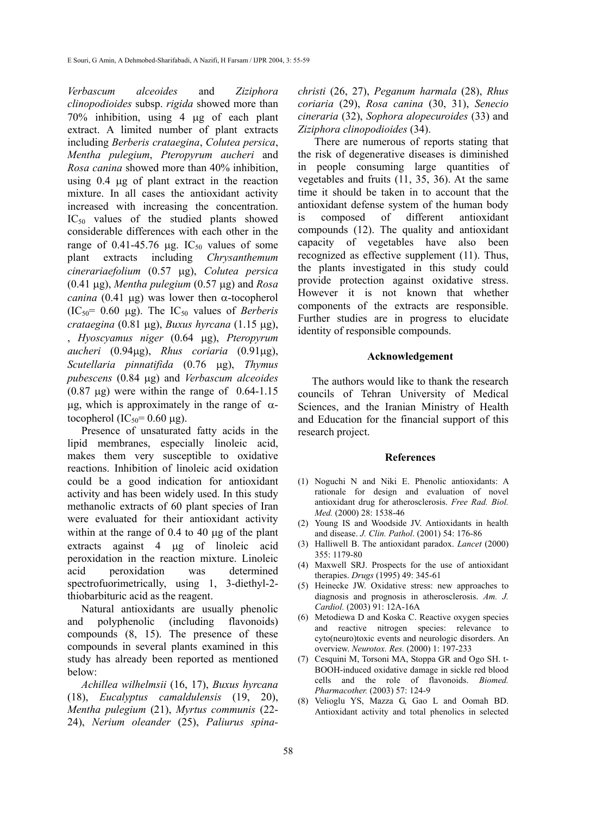*Verbascum alceoides* and *Ziziphora clinopodioides* subsp. *rigida* showed more than 70% inhibition, using 4 µg of each plant extract. A limited number of plant extracts including *Berberis crataegina*, *Colutea persica*, *Mentha pulegium*, *Pteropyrum aucheri* and *Rosa canina* showed more than 40% inhibition, using 0.4 µg of plant extract in the reaction mixture. In all cases the antioxidant activity increased with increasing the concentration.  $IC_{50}$  values of the studied plants showed considerable differences with each other in the range of 0.41-45.76  $\mu$ g. IC<sub>50</sub> values of some plant extracts including *Chrysanthemum cinerariaefolium* (0.57 µg), *Colutea persica* (0.41 µg), *Mentha pulegium* (0.57 µg) and *Rosa canina* (0.41  $\mu$ g) was lower then  $\alpha$ -tocopherol  $(IC<sub>50</sub>= 0.60 \mu g)$ . The  $IC<sub>50</sub>$  values of *Berberis crataegina* (0.81 µg), *Buxus hyrcana* (1.15 µg), , *Hyoscyamus niger* (0.64 µg), *Pteropyrum aucheri* (0.94µg), *Rhus coriaria* (0.91µg), *Scutellaria pinnatifida* (0.76 µg), *Thymus pubescens* (0.84 µg) and *Verbascum alceoides*   $(0.87 \text{ µg})$  were within the range of  $0.64$ -1.15 μg, which is approximately in the range of  $α$ tocopherol (IC<sub>50</sub>=  $0.60 \mu$ g).

Presence of unsaturated fatty acids in the lipid membranes, especially linoleic acid, makes them very susceptible to oxidative reactions. Inhibition of linoleic acid oxidation could be a good indication for antioxidant activity and has been widely used. In this study methanolic extracts of 60 plant species of Iran were evaluated for their antioxidant activity within at the range of 0.4 to 40 µg of the plant extracts against 4 µg of linoleic acid peroxidation in the reaction mixture. Linoleic acid peroxidation was determined spectrofuorimetrically, using 1, 3-diethyl-2 thiobarbituric acid as the reagent.

Natural antioxidants are usually phenolic and polyphenolic (including flavonoids) compounds (8, 15). The presence of these compounds in several plants examined in this study has already been reported as mentioned below:

*Achillea wilhelmsii* (16, 17), *Buxus hyrcana* (18), *Eucalyptus camaldulensis* (19, 20), *Mentha pulegium* (21), *Myrtus communis* (22- 24), *Nerium oleander* (25), *Paliurus spina-* *christi* (26, 27), *Peganum harmala* (28), *Rhus coriaria* (29), *Rosa canina* (30, 31), *Senecio cineraria* (32), *Sophora alopecuroides* (33) and *Ziziphora clinopodioides* (34).

 There are numerous of reports stating that the risk of degenerative diseases is diminished in people consuming large quantities of vegetables and fruits (11, 35, 36). At the same time it should be taken in to account that the antioxidant defense system of the human body is composed of different antioxidant compounds (12). The quality and antioxidant capacity of vegetables have also been recognized as effective supplement (11). Thus, the plants investigated in this study could provide protection against oxidative stress. However it is not known that whether components of the extracts are responsible. Further studies are in progress to elucidate identity of responsible compounds.

#### **Acknowledgement**

The authors would like to thank the research councils of Tehran University of Medical Sciences, and the Iranian Ministry of Health and Education for the financial support of this research project.

#### **References**

- (1) Noguchi N and Niki E. Phenolic antioxidants: A rationale for design and evaluation of novel antioxidant drug for atherosclerosis. *Free Rad. Biol. Med.* (2000) 28: 1538-46
- (2) Young IS and Woodside JV. Antioxidants in health and disease. *J. Clin. Pathol*. (2001) 54: 176-86
- (3) Halliwell B. The antioxidant paradox. *Lancet* (2000) 355: 1179-80
- (4) Maxwell SRJ. Prospects for the use of antioxidant therapies. *Drugs* (1995) 49: 345-61
- (5) Heinecke JW. Oxidative stress: new approaches to diagnosis and prognosis in atherosclerosis. *Am. J. Cardiol.* (2003) 91: 12A-16A
- (6) Metodiewa D and Koska C. Reactive oxygen species and reactive nitrogen species: relevance to cyto(neuro)toxic events and neurologic disorders. An overview. *Neurotox. Res.* (2000) 1: 197-233
- (7) Cesquini M, Torsoni MA, Stoppa GR and Ogo SH. t-BOOH-induced oxidative damage in sickle red blood cells and the role of flavonoids. *Biomed. Pharmacother.* (2003) 57: 124-9
- (8) Velioglu YS, Mazza G, Gao L and Oomah BD. Antioxidant activity and total phenolics in selected